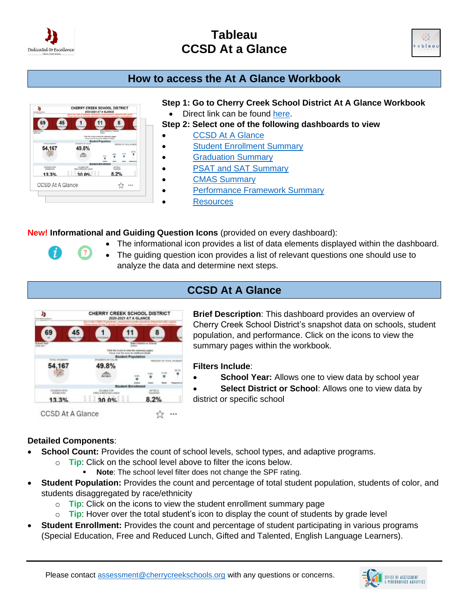

 $\boldsymbol{i}$ 

# **Tableau CCSD At a Glance**



## **How to access the At A Glance Workbook**



 $\sqrt{2}$ 

#### **Step 1: Go to Cherry Creek School District At A Glance Workbook**

- Direct link can be found [here.](https://public.tableau.com/app/profile/cherry.creek.schools/viz/CCSDAtAGlance/CCSDAtAGlance)
- **Step 2: Select one of the following dashboards to view**
- **[CCSD At A Glance](https://public.tableau.com/app/profile/cherry.creek.schools/viz/CCSDAtAGlance/CCSDAtAGlance)**
- [Student Enrollment Summary](https://public.tableau.com/app/profile/cherry.creek.schools/viz/CCSDAtAGlance/StudentEnrollmentSummary)
	- [Graduation Summary](https://public.tableau.com/app/profile/cherry.creek.schools/viz/CCSDAtAGlance/GraduationSummary)
- [PSAT and SAT Summary](https://public.tableau.com/app/profile/cherry.creek.schools/viz/CCSDAtAGlance/PSATandSATSummary)
- [CMAS Summary](https://public.tableau.com/app/profile/cherry.creek.schools/viz/CCSDAtAGlance/CMASSummary)
- [Performance Framework Summary](https://public.tableau.com/app/profile/cherry.creek.schools/viz/CCSDAtAGlance/PerformanceFrameworkSummary)
	- **[Resources](https://public.tableau.com/app/profile/cherry.creek.schools/viz/CCSDAtAGlance/Resources)**

**New! Informational and Guiding Question Icons** (provided on every dashboard):

- The informational icon provides a list of data elements displayed within the dashboard.
- The guiding question icon provides a list of relevant questions one should use to analyze the data and determine next steps.

## **CCSD At A Glance**



**Brief Description**: This dashboard provides an overview of Cherry Creek School District's snapshot data on schools, student population, and performance. Click on the icons to view the summary pages within the workbook.

#### **Filters Include**:

**School Year:** Allows one to view data by school year

**Select District or School:** Allows one to view data by district or specific school

#### **Detailed Components**:

- **School Count:** Provides the count of school levels, school types, and adaptive programs.
	- o **Tip**: Click on the school level above to filter the icons below.
		- Note: The school level filter does not change the SPF rating.
- **Student Population:** Provides the count and percentage of total student population, students of color, and students disaggregated by race/ethnicity
	- o **Tip**: Click on the icons to view the student enrollment summary page
	- o **Tip**: Hover over the total student's icon to display the count of students by grade level
- **Student Enrollment:** Provides the count and percentage of student participating in various programs (Special Education, Free and Reduced Lunch, Gifted and Talented, English Language Learners).

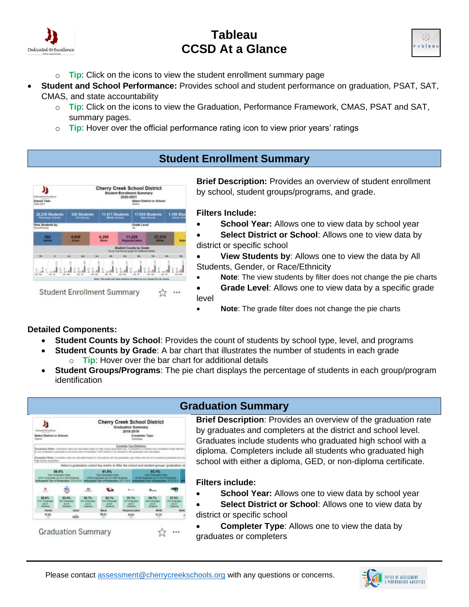



- o **Tip**: Click on the icons to view the student enrollment summary page
- **Student and School Performance:** Provides school and student performance on graduation, PSAT, SAT, CMAS, and state accountability
	- o **Tip**: Click on the icons to view the Graduation, Performance Framework, CMAS, PSAT and SAT, summary pages.
	- o **Tip**: Hover over the official performance rating icon to view prior years' ratings

## **Student Enrollment Summary**



**Brief Description:** Provides an overview of student enrollment by school, student groups/programs, and grade.

#### **Filters Include:**

- **School Year:** Allows one to view data by school year
- **Select District or School**: Allows one to view data by district or specific school
- **View Students by**: Allows one to view the data by All Students, Gender, or Race/Ethnicity
- **Note**: The view students by filter does not change the pie charts
- **Grade Level**: Allows one to view data by a specific grade level
- **Note:** The grade filter does not change the pie charts

#### **Detailed Components:**

- **Student Counts by School**: Provides the count of students by school type, level, and programs
	- **Student Counts by Grade:** A bar chart that illustrates the number of students in each grade
	- o **Tip**: Hover over the bar chart for additional details
- **Student Groups/Programs**: The pie chart displays the percentage of students in each group/program identification



## **Graduation Summary**

**Brief Description**: Provides an overview of the graduation rate by graduates and completers at the district and school level. Graduates include students who graduated high school with a diploma. Completers include all students who graduated high school with either a diploma, GED, or non-diploma certificate.

**Filters include:**

- **School Year:** Allows one to view data by school year
- **Select District or School**: Allows one to view data by district or specific school
- **Completer Type:** Allows one to view the data by graduates or completers

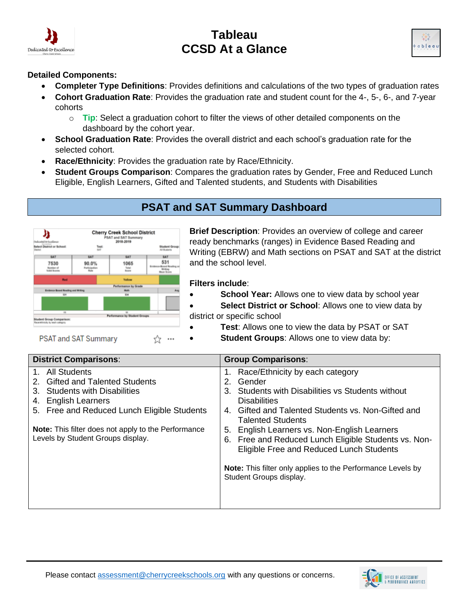



#### **Detailed Components:**

- **Completer Type Definitions**: Provides definitions and calculations of the two types of graduation rates
- **Cohort Graduation Rate**: Provides the graduation rate and student count for the 4-, 5-, 6-, and 7-year cohorts
	- o **Tip**: Select a graduation cohort to filter the views of other detailed components on the dashboard by the cohort year.
- **School Graduation Rate**: Provides the overall district and each school's graduation rate for the selected cohort.
- **Race/Ethnicity**: Provides the graduation rate by Race/Ethnicity.
- **Student Groups Comparison**: Compares the graduation rates by Gender, Free and Reduced Lunch Eligible, English Learners, Gifted and Talented students, and Students with Disabilities

## **PSAT and SAT Summary Dashboard**



**Brief Description**: Provides an overview of college and career ready benchmarks (ranges) in Evidence Based Reading and Writing (EBRW) and Math sections on PSAT and SAT at the district and the school level.

#### **Filters include**:

- **School Year:** Allows one to view data by school year
- **Select District or School**: Allows one to view data by district or specific school
	- **Test:** Allows one to view the data by PSAT or SAT
- **Student Groups**: Allows one to view data by:

| <b>District Comparisons:</b>                                                                                                                                                                                                                                                                       | <b>Group Comparisons:</b>                                                                                                                                                                                                                                                                                                                                                                                                                                                  |
|----------------------------------------------------------------------------------------------------------------------------------------------------------------------------------------------------------------------------------------------------------------------------------------------------|----------------------------------------------------------------------------------------------------------------------------------------------------------------------------------------------------------------------------------------------------------------------------------------------------------------------------------------------------------------------------------------------------------------------------------------------------------------------------|
| All Students<br>$1_{-}$<br><b>Gifted and Talented Students</b><br>2.<br><b>Students with Disabilities</b><br>3.<br><b>English Learners</b><br>4.<br>5. Free and Reduced Lunch Eligible Students<br><b>Note:</b> This filter does not apply to the Performance<br>Levels by Student Groups display. | Race/Ethnicity by each category<br>1.<br>Gender<br>2.<br>Students with Disabilities vs Students without<br>3.<br><b>Disabilities</b><br>Gifted and Talented Students vs. Non-Gifted and<br>4.<br><b>Talented Students</b><br>English Learners vs. Non-English Learners<br>5.<br>6. Free and Reduced Lunch Eligible Students vs. Non-<br>Eligible Free and Reduced Lunch Students<br>Note: This filter only applies to the Performance Levels by<br>Student Groups display. |



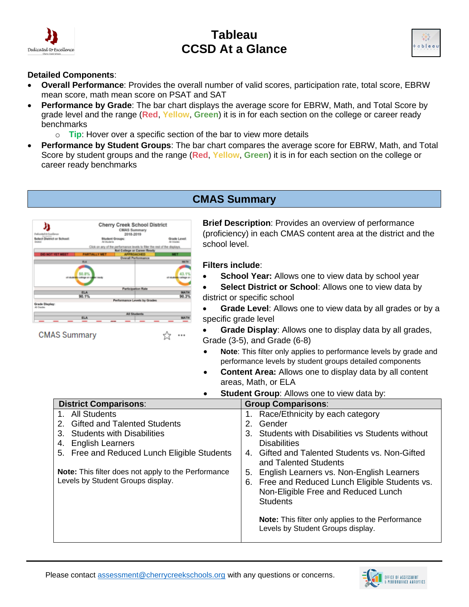



#### **Detailed Components**:

- **Overall Performance**: Provides the overall number of valid scores, participation rate, total score, EBRW mean score, math mean score on PSAT and SAT
- **Performance by Grade**: The bar chart displays the average score for EBRW, Math, and Total Score by grade level and the range (**Red**, **Yellow**, **Green**) it is in for each section on the college or career ready benchmarks
	- o **Tip**: Hover over a specific section of the bar to view more details

 $\cdots$ ☆

• **Performance by Student Groups**: The bar chart compares the average score for EBRW, Math, and Total Score by student groups and the range (**Red**, **Yellow**, **Green**) it is in for each section on the college or career ready benchmarks

### **CMAS Summary**



Levels by Student Groups display.

**CMAS Summary** 

**Brief Description**: Provides an overview of performance (proficiency) in each CMAS content area at the district and the school level.

#### **Filters include**:

**School Year:** Allows one to view data by school year

**Select District or School:** Allows one to view data by district or specific school

• **Grade Level**: Allows one to view data by all grades or by a specific grade level

• **Grade Display**: Allows one to display data by all grades, Grade (3-5), and Grade (6-8)

- **Note**: This filter only applies to performance levels by grade and performance levels by student groups detailed components
- **Content Area:** Allows one to display data by all content areas, Math, or ELA
- **Student Group**: Allows one to view data by: **District Comparisons: Group Comparisons**: 1. All Students 2. Gifted and Talented Students 3. Students with Disabilities 4. English Learners 5. Free and Reduced Lunch Eligible Students **Note:** This filter does not apply to the Performance 1. Race/Ethnicity by each category 2. Gender 3. Students with Disabilities vs Students without **Disabilities** 4. Gifted and Talented Students vs. Non-Gifted and Talented Students

5. English Learners vs. Non-English Learners

6. Free and Reduced Lunch Eligible Students vs. Non-Eligible Free and Reduced Lunch **Students** 

**Note:** This filter only applies to the Performance Levels by Student Groups display.

Please contact [assessment@cherrycreekschools.org](mailto:assessment@cherrycreekschools.org) with any questions or concerns.

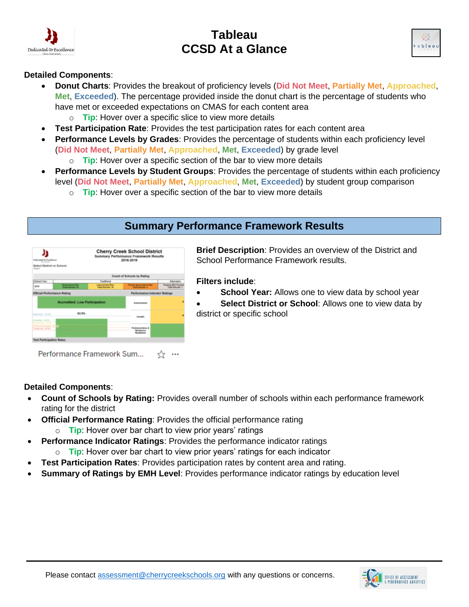



#### **Detailed Components**:

- **Donut Charts**: Provides the breakout of proficiency levels (**Did Not Meet**, **Partially Met**, **Approached**, **Met**, **Exceeded**). The percentage provided inside the donut chart is the percentage of students who have met or exceeded expectations on CMAS for each content area
	- o **Tip**: Hover over a specific slice to view more details
- **Test Participation Rate**: Provides the test participation rates for each content area
- **Performance Levels by Grades**: Provides the percentage of students within each proficiency level (**Did Not Meet**, **Partially Met**, **Approached**, **Met**, **Exceeded**) by grade level
	- o **Tip**: Hover over a specific section of the bar to view more details
- **Performance Levels by Student Groups**: Provides the percentage of students within each proficiency level (**Did Not Meet**, **Partially Met**, **Approached**, **Met**, **Exceeded**) by student group comparison
	- o **Tip**: Hover over a specific section of the bar to view more details

### **Summary Performance Framework Results**



**Brief Description**: Provides an overview of the District and School Performance Framework results.

#### **Filters include**:

- **School Year:** Allows one to view data by school year
- **Select District or School**: Allows one to view data by district or specific school

Performance Framework Sum... ☆ …

#### **Detailed Components**:

- **Count of Schools by Rating:** Provides overall number of schools within each performance framework rating for the district
- **Official Performance Rating: Provides the official performance rating** 
	- o **Tip**: Hover over bar chart to view prior years' ratings
- **Performance Indicator Ratings**: Provides the performance indicator ratings
	- o **Tip**: Hover over bar chart to view prior years' ratings for each indicator
- **Test Participation Rates**: Provides participation rates by content area and rating.
- **Summary of Ratings by EMH Level**: Provides performance indicator ratings by education level